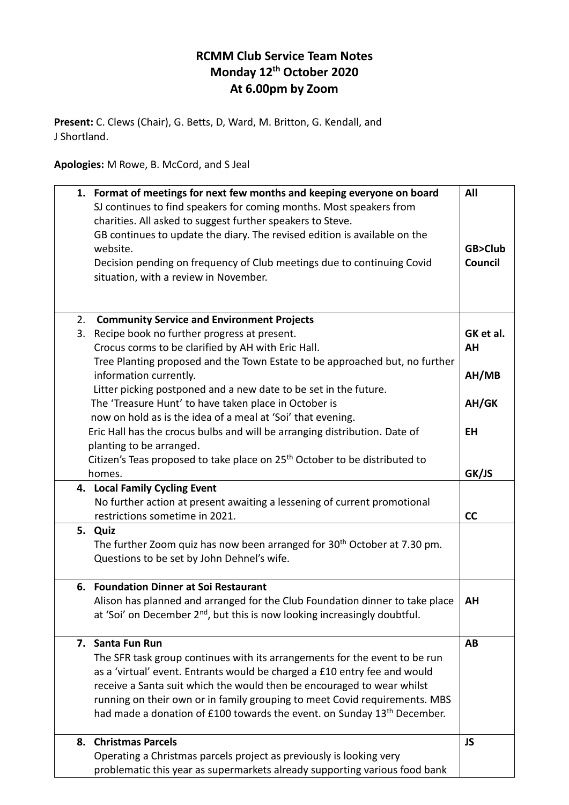## **RCMM Club Service Team Notes Monday 12 th October 2020 At 6.00pm by Zoom**

**Present:** C. Clews (Chair), G. Betts, D, Ward, M. Britton, G. Kendall, and J Shortland.

**Apologies:** M Rowe, B. McCord, and S Jeal

| 1. Format of meetings for next few months and keeping everyone on board<br>SJ continues to find speakers for coming months. Most speakers from | All       |
|------------------------------------------------------------------------------------------------------------------------------------------------|-----------|
| charities. All asked to suggest further speakers to Steve.                                                                                     |           |
| GB continues to update the diary. The revised edition is available on the                                                                      |           |
| website.                                                                                                                                       | GB>Club   |
| Decision pending on frequency of Club meetings due to continuing Covid                                                                         | Council   |
| situation, with a review in November.                                                                                                          |           |
|                                                                                                                                                |           |
| 2.<br><b>Community Service and Environment Projects</b>                                                                                        |           |
| 3.<br>Recipe book no further progress at present.                                                                                              | GK et al. |
| Crocus corms to be clarified by AH with Eric Hall.                                                                                             | AΗ        |
| Tree Planting proposed and the Town Estate to be approached but, no further                                                                    |           |
| information currently.                                                                                                                         | AH/MB     |
| Litter picking postponed and a new date to be set in the future.                                                                               |           |
| The 'Treasure Hunt' to have taken place in October is                                                                                          | AH/GK     |
| now on hold as is the idea of a meal at 'Soi' that evening.                                                                                    |           |
| Eric Hall has the crocus bulbs and will be arranging distribution. Date of                                                                     | <b>EH</b> |
| planting to be arranged.                                                                                                                       |           |
| Citizen's Teas proposed to take place on 25 <sup>th</sup> October to be distributed to                                                         |           |
| homes.                                                                                                                                         | GK/JS     |
| 4. Local Family Cycling Event                                                                                                                  |           |
| No further action at present awaiting a lessening of current promotional                                                                       |           |
| restrictions sometime in 2021.                                                                                                                 | cc        |
| 5. Quiz                                                                                                                                        |           |
| The further Zoom quiz has now been arranged for 30 <sup>th</sup> October at 7.30 pm.                                                           |           |
| Questions to be set by John Dehnel's wife.                                                                                                     |           |
| 6. Foundation Dinner at Soi Restaurant                                                                                                         |           |
| Alison has planned and arranged for the Club Foundation dinner to take place                                                                   | AH        |
| at 'Soi' on December 2 <sup>nd</sup> , but this is now looking increasingly doubtful.                                                          |           |
| 7. Santa Fun Run                                                                                                                               | AB        |
| The SFR task group continues with its arrangements for the event to be run                                                                     |           |
| as a 'virtual' event. Entrants would be charged a £10 entry fee and would                                                                      |           |
| receive a Santa suit which the would then be encouraged to wear whilst                                                                         |           |
| running on their own or in family grouping to meet Covid requirements. MBS                                                                     |           |
| had made a donation of £100 towards the event. on Sunday 13 <sup>th</sup> December.                                                            |           |
| <b>Christmas Parcels</b><br>8.                                                                                                                 | <b>JS</b> |
| Operating a Christmas parcels project as previously is looking very                                                                            |           |
| problematic this year as supermarkets already supporting various food bank                                                                     |           |